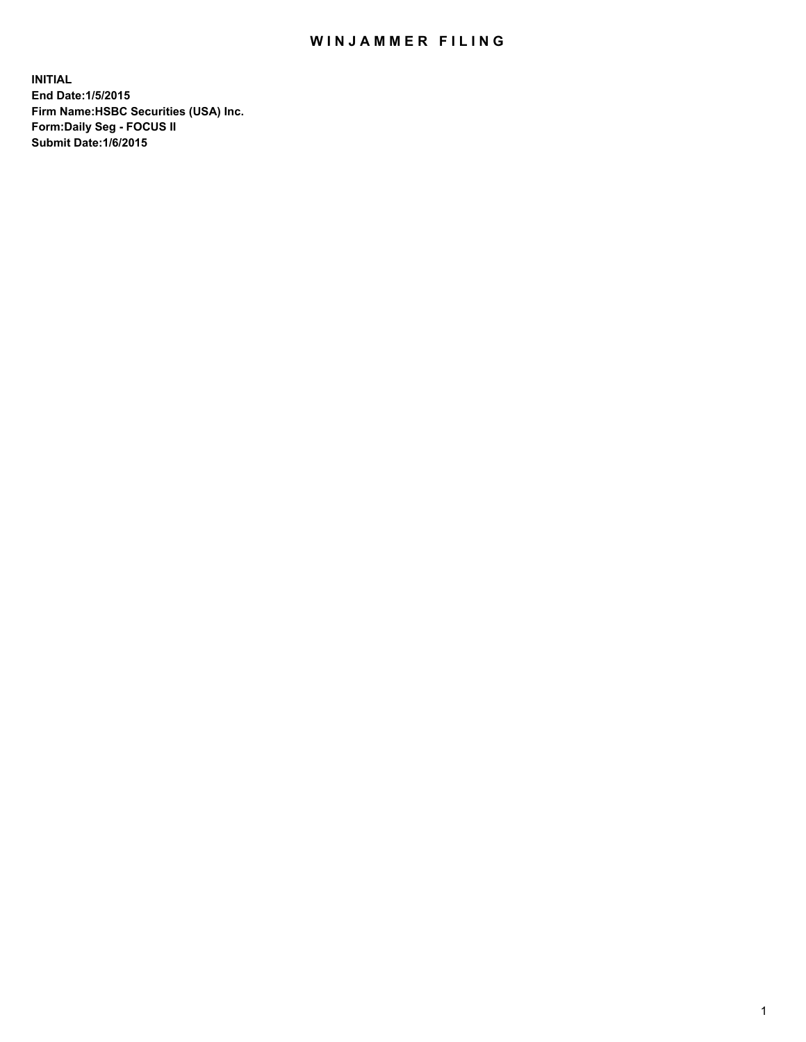## WIN JAMMER FILING

**INITIAL End Date:1/5/2015 Firm Name:HSBC Securities (USA) Inc. Form:Daily Seg - FOCUS II Submit Date:1/6/2015**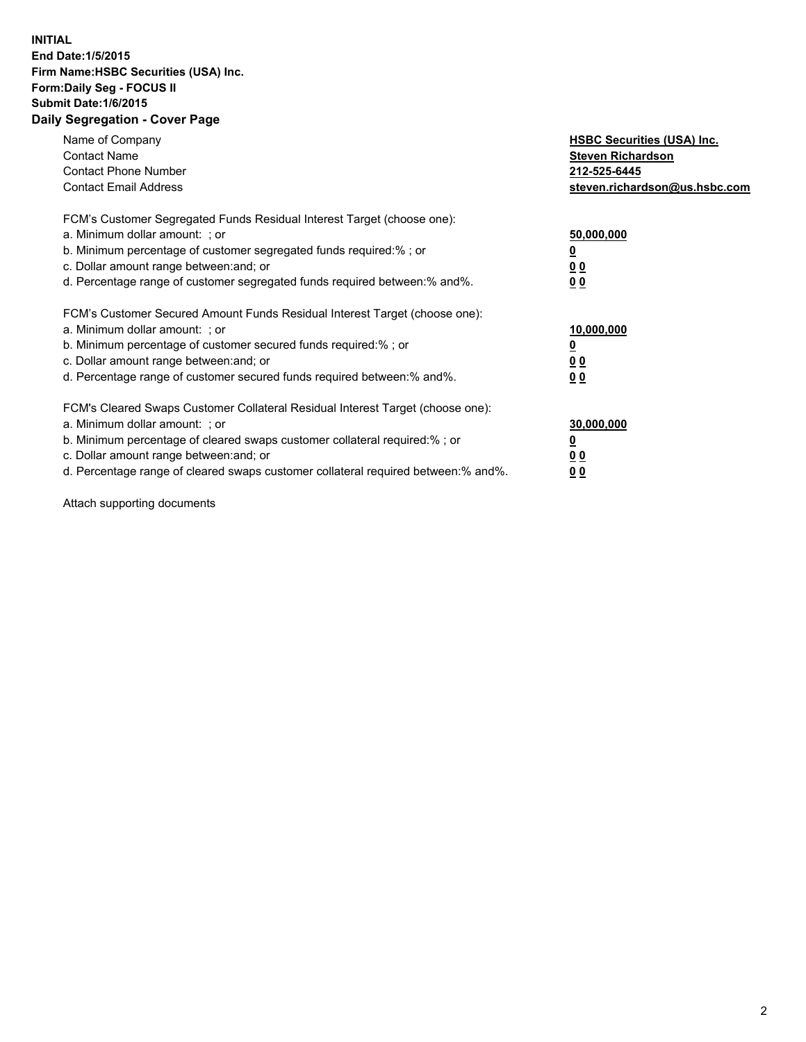## **INITIAL End Date:1/5/2015 Firm Name:HSBC Securities (USA) Inc. Form:Daily Seg - FOCUS II Submit Date:1/6/2015 Daily Segregation - Cover Page**

| Name of Company<br><b>Contact Name</b><br><b>Contact Phone Number</b><br><b>Contact Email Address</b>                                                                                                                                                                                                                         | <b>HSBC Securities (USA) Inc.</b><br><b>Steven Richardson</b><br>212-525-6445<br>steven.richardson@us.hsbc.com |
|-------------------------------------------------------------------------------------------------------------------------------------------------------------------------------------------------------------------------------------------------------------------------------------------------------------------------------|----------------------------------------------------------------------------------------------------------------|
| FCM's Customer Segregated Funds Residual Interest Target (choose one):<br>a. Minimum dollar amount: ; or<br>b. Minimum percentage of customer segregated funds required:% ; or<br>c. Dollar amount range between: and; or<br>d. Percentage range of customer segregated funds required between: % and %.                      | 50,000,000<br>0 <sub>0</sub><br>00                                                                             |
| FCM's Customer Secured Amount Funds Residual Interest Target (choose one):<br>a. Minimum dollar amount: ; or<br>b. Minimum percentage of customer secured funds required:%; or<br>c. Dollar amount range between: and; or<br>d. Percentage range of customer secured funds required between: % and %.                         | 10,000,000<br>00<br>00                                                                                         |
| FCM's Cleared Swaps Customer Collateral Residual Interest Target (choose one):<br>a. Minimum dollar amount: ; or<br>b. Minimum percentage of cleared swaps customer collateral required:%; or<br>c. Dollar amount range between: and; or<br>d. Percentage range of cleared swaps customer collateral required between:% and%. | 30,000,000<br>0 <sub>0</sub><br>00                                                                             |

Attach supporting documents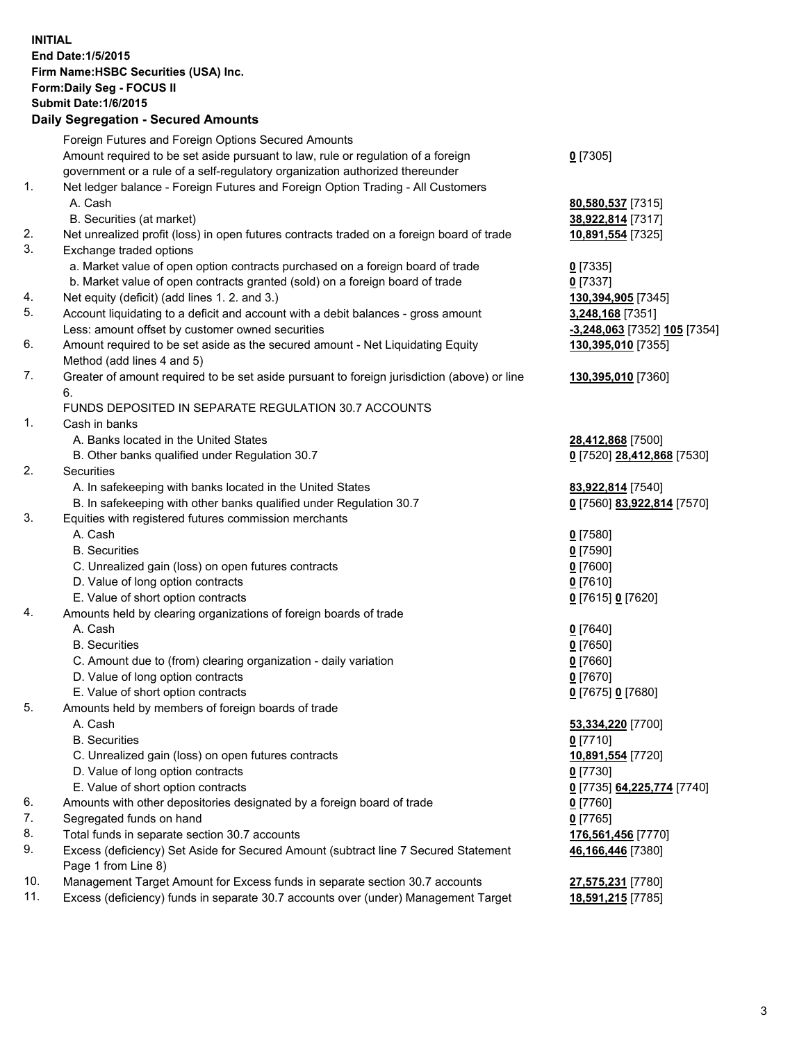**INITIAL End Date:1/5/2015 Firm Name:HSBC Securities (USA) Inc. Form:Daily Seg - FOCUS II Submit Date:1/6/2015 Daily Segregation - Secured Amounts** Foreign Futures and Foreign Options Secured Amounts Amount required to be set aside pursuant to law, rule or regulation of a foreign government or a rule of a self-regulatory organization authorized thereunder **0** [7305] 1. Net ledger balance - Foreign Futures and Foreign Option Trading - All Customers A. Cash **80,580,537** [7315] B. Securities (at market) **38,922,814** [7317] 2. Net unrealized profit (loss) in open futures contracts traded on a foreign board of trade **10,891,554** [7325] 3. Exchange traded options a. Market value of open option contracts purchased on a foreign board of trade **0** [7335] b. Market value of open contracts granted (sold) on a foreign board of trade **0** [7337] 4. Net equity (deficit) (add lines 1. 2. and 3.) **130,394,905** [7345] 5. Account liquidating to a deficit and account with a debit balances - gross amount **3,248,168** [7351] Less: amount offset by customer owned securities **-3,248,063** [7352] **105** [7354] 6. Amount required to be set aside as the secured amount - Net Liquidating Equity Method (add lines 4 and 5) **130,395,010** [7355] 7. Greater of amount required to be set aside pursuant to foreign jurisdiction (above) or line 6. **130,395,010** [7360] FUNDS DEPOSITED IN SEPARATE REGULATION 30.7 ACCOUNTS 1. Cash in banks A. Banks located in the United States **28,412,868** [7500] B. Other banks qualified under Regulation 30.7 **0** [7520] **28,412,868** [7530] 2. Securities A. In safekeeping with banks located in the United States **83,922,814** [7540] B. In safekeeping with other banks qualified under Regulation 30.7 **0** [7560] **83,922,814** [7570] 3. Equities with registered futures commission merchants A. Cash **0** [7580] B. Securities **0** [7590] C. Unrealized gain (loss) on open futures contracts **0** [7600] D. Value of long option contracts **0** [7610] E. Value of short option contracts **0** [7615] **0** [7620] 4. Amounts held by clearing organizations of foreign boards of trade A. Cash **0** [7640] B. Securities **0** [7650] C. Amount due to (from) clearing organization - daily variation **0** [7660] D. Value of long option contracts **0** [7670] E. Value of short option contracts **0** [7675] **0** [7680] 5. Amounts held by members of foreign boards of trade A. Cash **53,334,220** [7700] B. Securities **0** [7710] C. Unrealized gain (loss) on open futures contracts **10,891,554** [7720] D. Value of long option contracts **0** [7730] E. Value of short option contracts **0** [7735] **64,225,774** [7740] 6. Amounts with other depositories designated by a foreign board of trade **0** [7760] 7. Segregated funds on hand **0** [7765] 8. Total funds in separate section 30.7 accounts **176,561,456** [7770] 9. Excess (deficiency) Set Aside for Secured Amount (subtract line 7 Secured Statement Page 1 from Line 8) **46,166,446** [7380]

10. Management Target Amount for Excess funds in separate section 30.7 accounts **27,575,231** [7780]

11. Excess (deficiency) funds in separate 30.7 accounts over (under) Management Target **18,591,215** [7785]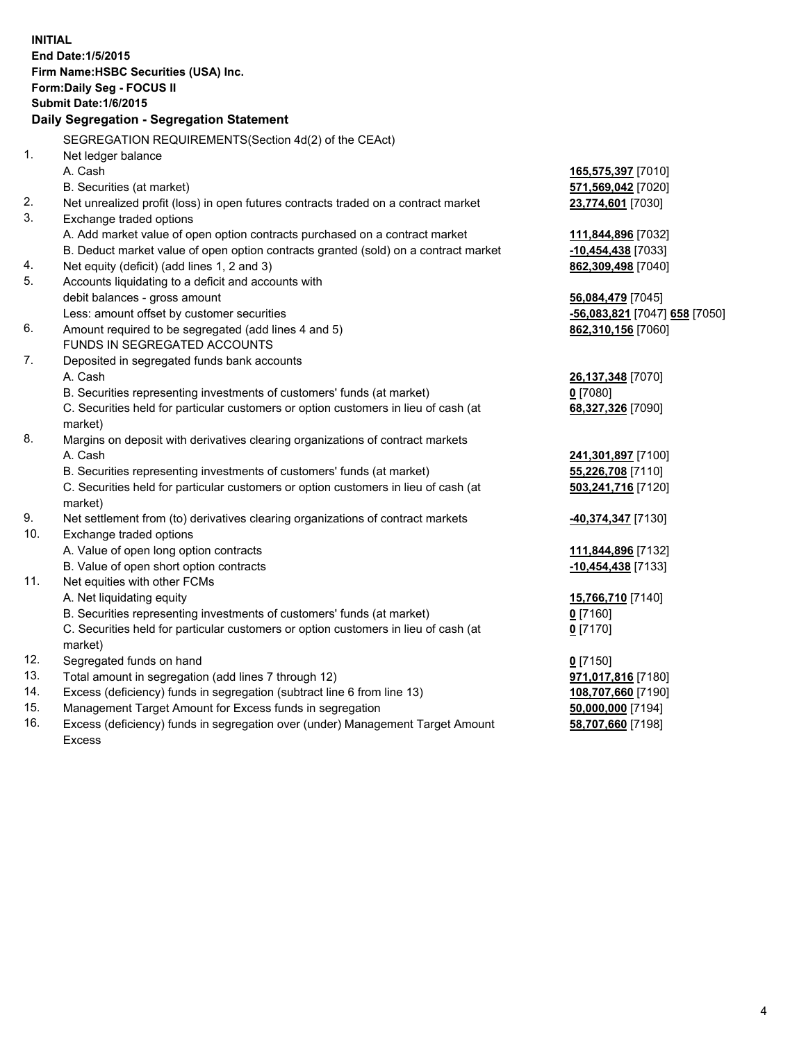| <b>INITIAL</b> | End Date: 1/5/2015<br>Firm Name: HSBC Securities (USA) Inc.<br>Form: Daily Seg - FOCUS II<br>Submit Date: 1/6/2015<br>Daily Segregation - Segregation Statement |                                            |
|----------------|-----------------------------------------------------------------------------------------------------------------------------------------------------------------|--------------------------------------------|
|                | SEGREGATION REQUIREMENTS(Section 4d(2) of the CEAct)                                                                                                            |                                            |
| 1.             | Net ledger balance                                                                                                                                              |                                            |
|                | A. Cash                                                                                                                                                         | 165,575,397 [7010]                         |
|                | B. Securities (at market)                                                                                                                                       | 571,569,042 [7020]                         |
| 2.             | Net unrealized profit (loss) in open futures contracts traded on a contract market                                                                              | 23,774,601 [7030]                          |
| 3.             | Exchange traded options                                                                                                                                         |                                            |
|                | A. Add market value of open option contracts purchased on a contract market                                                                                     | 111,844,896 [7032]                         |
| 4.             | B. Deduct market value of open option contracts granted (sold) on a contract market<br>Net equity (deficit) (add lines 1, 2 and 3)                              | $-10,454,438$ [7033]<br>862,309,498 [7040] |
| 5.             | Accounts liquidating to a deficit and accounts with                                                                                                             |                                            |
|                | debit balances - gross amount                                                                                                                                   | 56,084,479 [7045]                          |
|                | Less: amount offset by customer securities                                                                                                                      | -56,083,821 [7047] 658 [7050]              |
| 6.             | Amount required to be segregated (add lines 4 and 5)                                                                                                            | 862,310,156 [7060]                         |
|                | FUNDS IN SEGREGATED ACCOUNTS                                                                                                                                    |                                            |
| 7.             | Deposited in segregated funds bank accounts                                                                                                                     |                                            |
|                | A. Cash                                                                                                                                                         | 26,137,348 [7070]                          |
|                | B. Securities representing investments of customers' funds (at market)                                                                                          | $0$ [7080]                                 |
|                | C. Securities held for particular customers or option customers in lieu of cash (at<br>market)                                                                  | 68,327,326 [7090]                          |
| 8.             | Margins on deposit with derivatives clearing organizations of contract markets                                                                                  |                                            |
|                | A. Cash                                                                                                                                                         | 241,301,897 [7100]                         |
|                | B. Securities representing investments of customers' funds (at market)                                                                                          | 55,226,708 [7110]                          |
|                | C. Securities held for particular customers or option customers in lieu of cash (at<br>market)                                                                  | 503,241,716 [7120]                         |
| 9.             | Net settlement from (to) derivatives clearing organizations of contract markets                                                                                 | 40,374,347 [7130]                          |
| 10.            | Exchange traded options                                                                                                                                         |                                            |
|                | A. Value of open long option contracts                                                                                                                          | 111,844,896 [7132]                         |
|                | B. Value of open short option contracts                                                                                                                         | $-10,454,438$ [7133]                       |
| 11.            | Net equities with other FCMs                                                                                                                                    |                                            |
|                | A. Net liquidating equity<br>B. Securities representing investments of customers' funds (at market)                                                             | 15,766,710 [7140]                          |
|                | C. Securities held for particular customers or option customers in lieu of cash (at                                                                             | 0 [7160]                                   |
|                | market)                                                                                                                                                         | 0 <sup>[7170]</sup>                        |
| 12.            | Segregated funds on hand                                                                                                                                        | $0$ [7150]                                 |
| 13.            | Total amount in segregation (add lines 7 through 12)                                                                                                            | 971,017,816 [7180]                         |
| 14.            | Excess (deficiency) funds in segregation (subtract line 6 from line 13)                                                                                         | 108,707,660 [7190]                         |
| 15.            | Management Target Amount for Excess funds in segregation                                                                                                        | 50,000,000 [7194]                          |
| 16.            | Excess (deficiency) funds in segregation over (under) Management Target Amount                                                                                  | 58,707,660 [7198]                          |
|                | <b>Excess</b>                                                                                                                                                   |                                            |